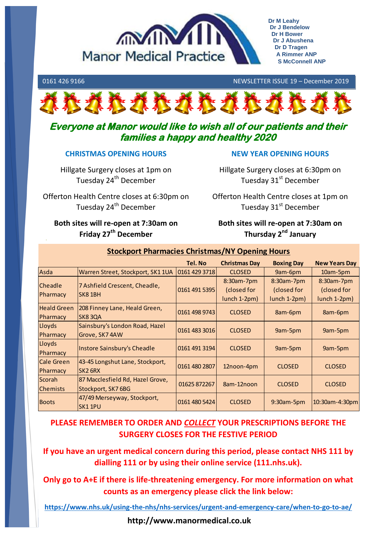

**Dr M Leahy Dr J Bendelow Dr H Bower Dr J Abushena Dr D Tragen A Rimmer ANP S McConnell ANP**

### 0161 426 9166 NEWSLETTER ISSUE 19 – December 2019



# **Everyone at Manor would like to wish all of our patients and their families a happy and healthy 2020**

## **CHRISTMAS OPENING HOURS**

Hillgate Surgery closes at 1pm on Tuesday 24<sup>th</sup> December

Hillgate Surgery closes at 6:30pm on Tuesday 31<sup>st</sup> December

**NEW YEAR OPENING HOURS**

Offerton Health Centre closes at 6:30pm on Tuesday 24<sup>th</sup> December Offerton Health Centre closes at 1pm on Tuesday 31<sup>st</sup> December

## **Both sites will re-open at 7:30am on Friday 27th December**

**Both sites will re-open at 7:30am on Thursday 2nd January**

|                                |                                                        | Tel. No       | <b>Christmas Day</b>                      | <b>Boxing Day</b>                         | <b>New Years Day</b>                      |
|--------------------------------|--------------------------------------------------------|---------------|-------------------------------------------|-------------------------------------------|-------------------------------------------|
| Asda                           | Warren Street, Stockport, SK1 1UA                      | 0161 429 3718 | <b>CLOSED</b>                             | 9am-6pm                                   | 10am-5pm                                  |
| <b>Cheadle</b><br>Pharmacy     | 7 Ashfield Crescent, Cheadle,<br>SK81BH                | 0161 491 5395 | 8:30am-7pm<br>(closed for<br>lunch 1-2pm) | 8:30am-7pm<br>(closed for<br>lunch 1-2pm) | 8:30am-7pm<br>(closed for<br>lunch 1-2pm) |
| <b>Heald Green</b><br>Pharmacy | 208 Finney Lane, Heald Green,<br>SK83QA                | 0161 498 9743 | <b>CLOSED</b>                             | 8am-6pm                                   | 8am-6pm                                   |
| Lloyds<br>Pharmacy             | Sainsbury's London Road, Hazel<br>Grove, SK7 4AW       | 0161 483 3016 | <b>CLOSED</b>                             | 9am-5pm                                   | 9am-5pm                                   |
| Lloyds<br>Pharmacy             | Instore Sainsbury's Cheadle                            | 0161 491 3194 | <b>CLOSED</b>                             | 9am-5pm                                   | 9am-5pm                                   |
| <b>Cale Green</b><br>Pharmacy  | 43-45 Longshut Lane, Stockport,<br>SK <sub>2</sub> 6RX | 0161 480 2807 | 12noon-4pm                                | <b>CLOSED</b>                             | <b>CLOSED</b>                             |
| Scorah<br><b>Chemists</b>      | 87 Macclesfield Rd, Hazel Grove,<br>Stockport, SK7 6BG | 01625 872267  | 8am-12noon                                | <b>CLOSED</b>                             | <b>CLOSED</b>                             |
| <b>Boots</b>                   | 47/49 Merseyway, Stockport,<br>SK11PU                  | 0161 480 5424 | <b>CLOSED</b>                             | 9:30am-5pm                                | 10:30am-4:30pm                            |

## **Stockport Pharmacies Christmas/NY Opening Hours**

# **PLEASE REMEMBER TO ORDER AND** *COLLECT* **YOUR PRESCRIPTIONS BEFORE THE SURGERY CLOSES FOR THE FESTIVE PERIOD**

**If you have an urgent medical concern during this period, please contact NHS 111 by dialling 111 or by using their online service (111.nhs.uk).** 

**Only go to A+E if there is life-threatening emergency. For more information on what counts as an emergency please click the link below:**

**<https://www.nhs.uk/using-the-nhs/nhs-services/urgent-and-emergency-care/when-to-go-to-ae/>**

**http://www.manormedical.co.uk**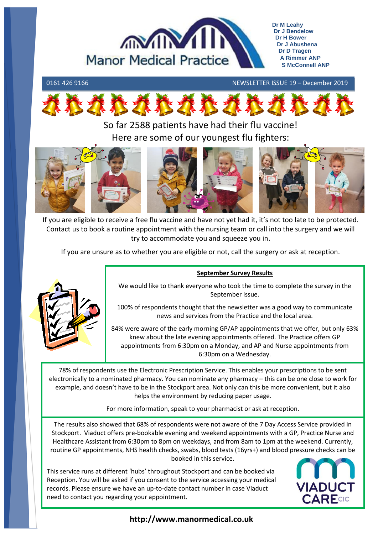

### 0161 426 9166 NEWSLETTER ISSUE 19 – December 2019



So far 2588 patients have had their flu vaccine! Here are some of our youngest flu fighters:



If you are eligible to receive a free flu vaccine and have not yet had it, it's not too late to be protected. Contact us to book a routine appointment with the nursing team or call into the surgery and we will try to accommodate you and squeeze you in.

If you are unsure as to whether you are eligible or not, call the surgery or ask at reception.



### **September Survey Results**

We would like to thank everyone who took the time to complete the survey in the September issue.

100% of respondents thought that the newsletter was a good way to communicate news and services from the Practice and the local area.

84% were aware of the early morning GP/AP appointments that we offer, but only 63% knew about the late evening appointments offered. The Practice offers GP appointments from 6:30pm on a Monday, and AP and Nurse appointments from 6:30pm on a Wednesday.

78% of respondents use the Electronic Prescription Service. This enables your prescriptions to be sent electronically to a nominated pharmacy. You can nominate any pharmacy – this can be one close to work for example, and doesn't have to be in the Stockport area. Not only can this be more convenient, but it also helps the environment by reducing paper usage.

For more information, speak to your pharmacist or ask at reception.

The results also showed that 68% of respondents were not aware of the 7 Day Access Service provided in Stockport. Viaduct offers pre-bookable evening and weekend appointments with a GP, Practice Nurse and Healthcare Assistant from 6:30pm to 8pm on weekdays, and from 8am to 1pm at the weekend. Currently, routine GP appointments, NHS health checks, swabs, blood tests (16yrs+) and blood pressure checks can be booked in this service.

This service runs at different 'hubs' throughout Stockport and can be booked via Reception. You will be asked if you consent to the service accessing your medical records. Please ensure we have an up-to-date contact number in case Viaduct need to contact you regarding your appointment.



# **http://www.manormedical.co.uk**